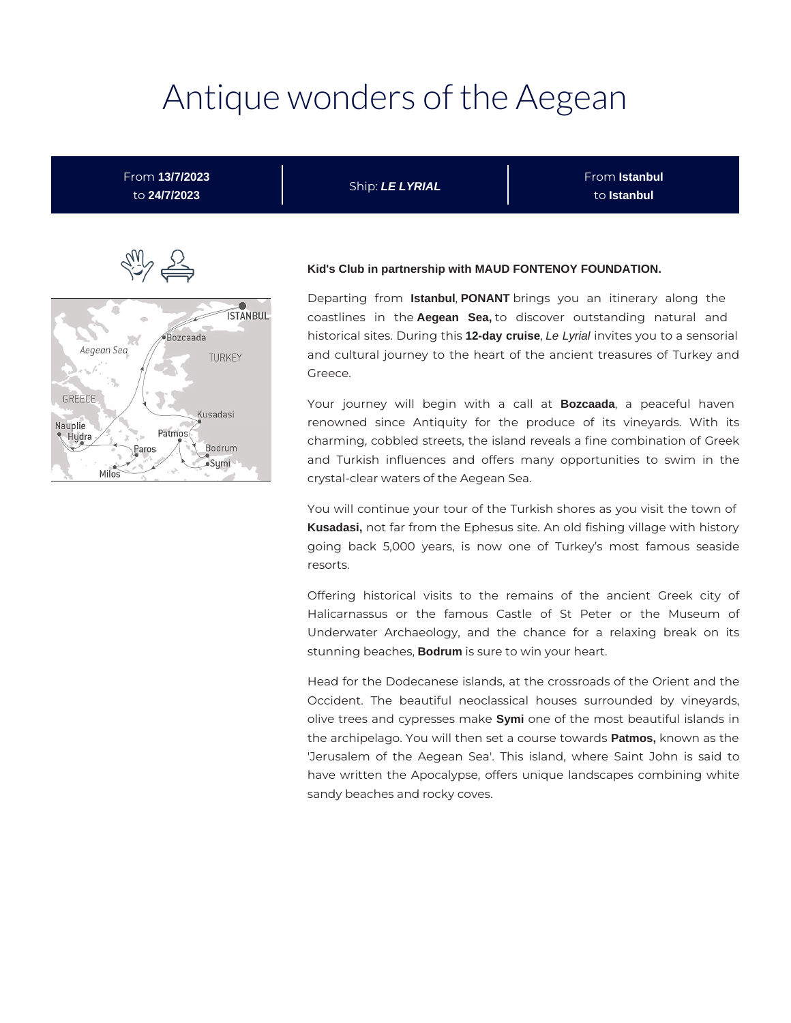# Antique wonders of the Aegean

From **13/7/2023** to **24/7/2023**

Ship: **LE LYRIAL**

From **Istanbul** to **Istanbul**



#### **Kid's Club in partnership with MAUD FONTENOY FOUNDATION.**

Departing from **Istanbul**, **PONANT** brings you an itinerary along the coastlines in the **Aegean Sea,** to discover outstanding natural and historical sites. During this **12-day cruise**, Le Lyrial invites you to a sensorial and cultural journey to the heart of the ancient treasures of Turkey and Greece.

Your journey will begin with a call at **Bozcaada**, a peaceful haven renowned since Antiquity for the produce of its vineyards. With its charming, cobbled streets, the island reveals a fine combination of Greek and Turkish influences and offers many opportunities to swim in the crystal-clear waters of the Aegean Sea.

You will continue your tour of the Turkish shores as you visit the town of **Kusadasi,** not far from the Ephesus site. An old fishing village with history going back 5,000 years, is now one of Turkey's most famous seaside resorts.

Offering historical visits to the remains of the ancient Greek city of Halicarnassus or the famous Castle of St Peter or the Museum of Underwater Archaeology, and the chance for a relaxing break on its stunning beaches, **Bodrum** is sure to win your heart.

Head for the Dodecanese islands, at the crossroads of the Orient and the Occident. The beautiful neoclassical houses surrounded by vineyards, olive trees and cypresses make **Symi** one of the most beautiful islands in the archipelago. You will then set a course towards **Patmos,** known as the 'Jerusalem of the Aegean Sea'. This island, where Saint John is said to have written the Apocalypse, offers unique landscapes combining white sandy beaches and rocky coves.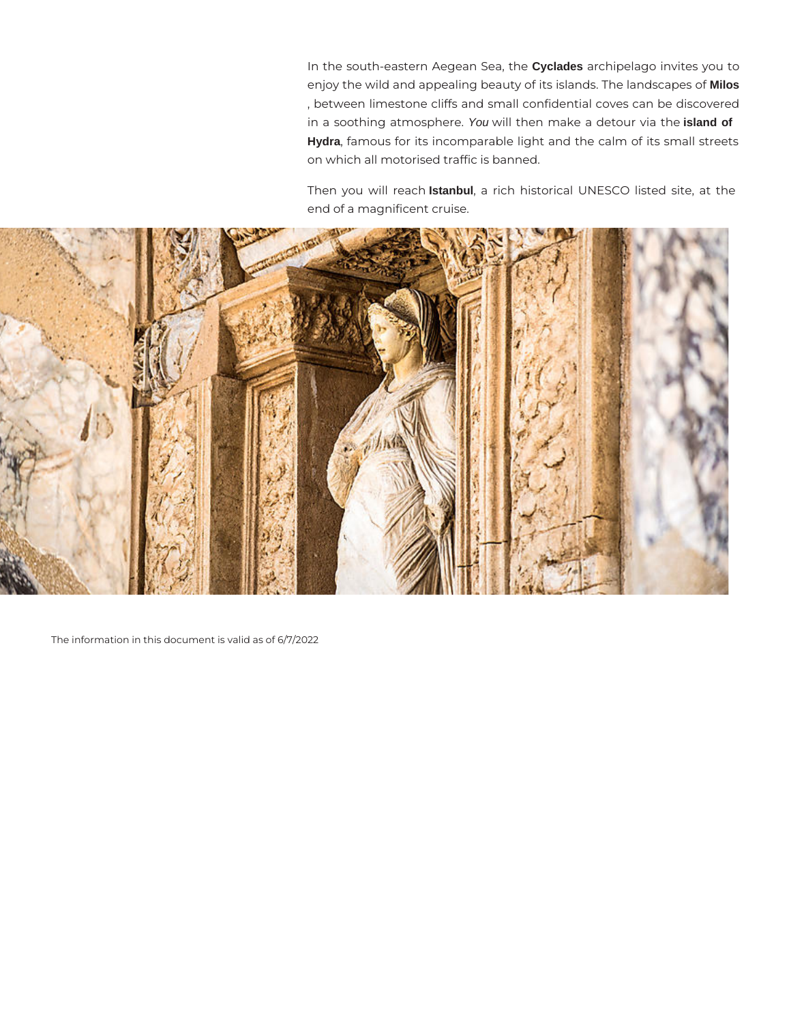In the south-eastern Aegean Sea, the **Cyclades** archipelago invites you to enjoy the wild and appealing beauty of its islands. The landscapes of **Milos** , between limestone cliffs and small confidential coves can be discovered in a soothing atmosphere. You will then make a detour via the **island of Hydra**, famous for its incomparable light and the calm of its small streets on which all motorised traffic is banned.

Then you will reach **Istanbul**, a rich historical UNESCO listed site, at the end of a magnificent cruise.



The information in this document is valid as of 6/7/2022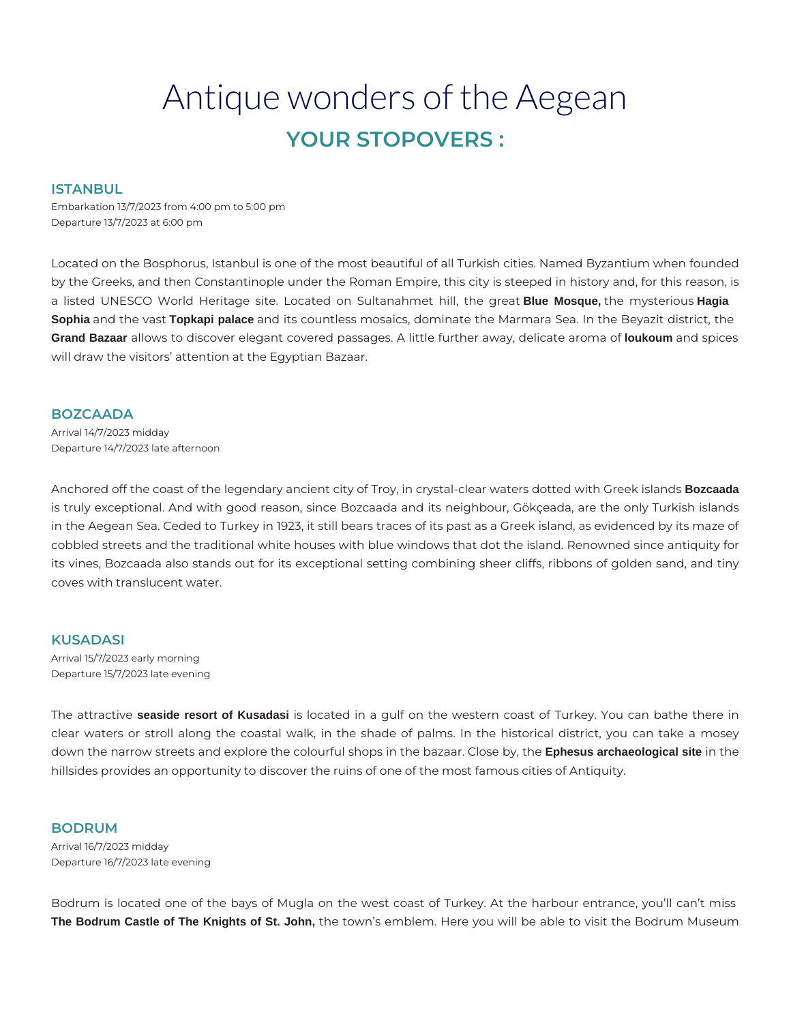# Antique wonders of the Aegean **YOUR STOPOVERS :**

#### **ISTANBUL**

Embarkation 13/7/2023 from 4:00 pm to 5:00 pm Departure 13/7/2023 at 6:00 pm

Located on the Bosphorus, Istanbul is one of the most beautiful of all Turkish cities. Named Byzantium when founded by the Greeks, and then Constantinople under the Roman Empire, this city is steeped in history and, for this reason, is a listed UNESCO World Heritage site. Located on Sultanahmet hill, the great **Blue Mosque,** the mysterious **Hagia Sophia** and the vast **Topkapi palace** and its countless mosaics, dominate the Marmara Sea. In the Beyazit district, the **Grand Bazaar** allows to discover elegant covered passages. A little further away, delicate aroma of **loukoum** and spices will draw the visitors' attention at the Egyptian Bazaar.

#### **BOZCAADA**

Arrival 14/7/2023 midday Departure 14/7/2023 late afternoon

Anchored off the coast of the legendary ancient city of Troy, in crystal-clear waters dotted with Greek islands **Bozcaada** is truly exceptional. And with good reason, since Bozcaada and its neighbour, Gökçeada, are the only Turkish islands in the Aegean Sea. Ceded to Turkey in 1923, it still bears traces of its past as a Greek island, as evidenced by its maze of cobbled streets and the traditional white houses with blue windows that dot the island. Renowned since antiquity for its vines, Bozcaada also stands out for its exceptional setting combining sheer cliffs, ribbons of golden sand, and tiny coves with translucent water.

# **KUSADASI**

Arrival 15/7/2023 early morning Departure 15/7/2023 late evening

The attractive **seaside resort of Kusadasi** is located in a gulf on the western coast of Turkey. You can bathe there in clear waters or stroll along the coastal walk, in the shade of palms. In the historical district, you can take a mosey down the narrow streets and explore the colourful shops in the bazaar. Close by, the **Ephesus archaeological site** in the hillsides provides an opportunity to discover the ruins of one of the most famous cities of Antiquity.

#### **BODRUM**

Arrival 16/7/2023 midday Departure 16/7/2023 late evening

Bodrum is located one of the bays of Mugla on the west coast of Turkey. At the harbour entrance, you'll can't miss **The Bodrum Castle of The Knights of St. John,** the town's emblem. Here you will be able to visit the Bodrum Museum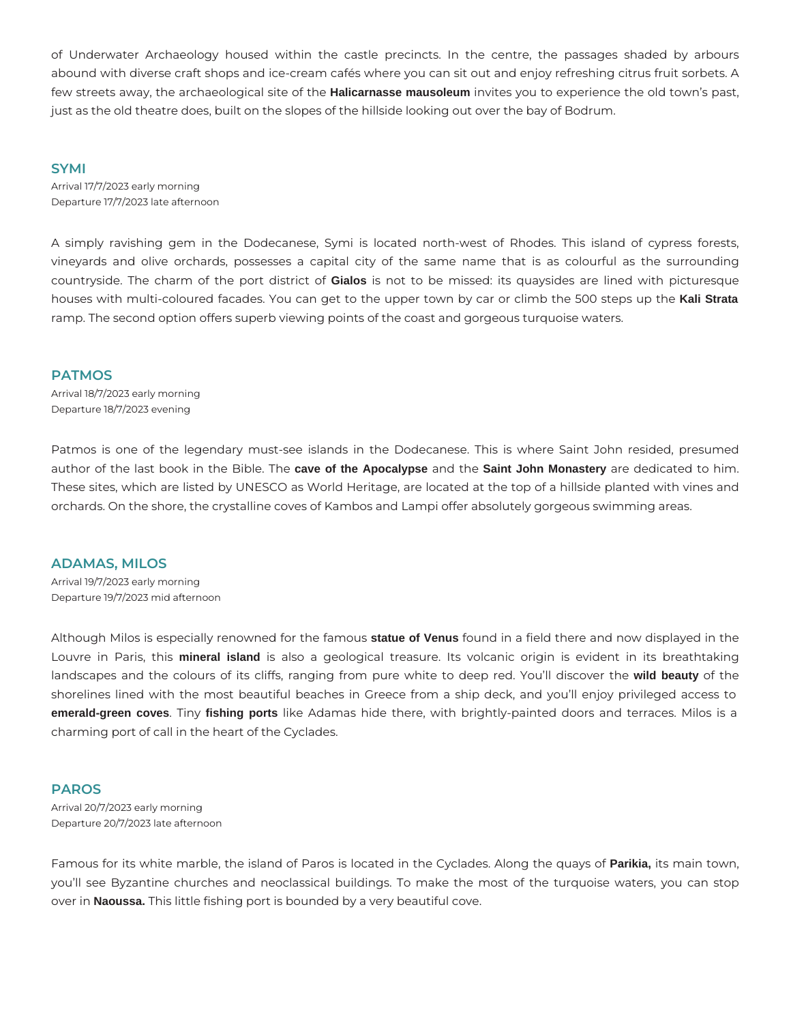of Underwater Archaeology housed within the castle precincts. In the centre, the passages shaded by arbours abound with diverse craft shops and ice-cream cafés where you can sit out and enjoy refreshing citrus fruit sorbets. A few streets away, the archaeological site of the **Halicarnasse mausoleum** invites you to experience the old town's past, just as the old theatre does, built on the slopes of the hillside looking out over the bay of Bodrum.

#### **SYMI**

Arrival 17/7/2023 early morning Departure 17/7/2023 late afternoon

A simply ravishing gem in the Dodecanese, Symi is located north-west of Rhodes. This island of cypress forests, vineyards and olive orchards, possesses a capital city of the same name that is as colourful as the surrounding countryside. The charm of the port district of **Gialos** is not to be missed: its quaysides are lined with picturesque houses with multi-coloured facades. You can get to the upper town by car or climb the 500 steps up the **Kali Strata** ramp. The second option offers superb viewing points of the coast and gorgeous turquoise waters.

# **PATMOS**

Arrival 18/7/2023 early morning Departure 18/7/2023 evening

Patmos is one of the legendary must-see islands in the Dodecanese. This is where Saint John resided, presumed author of the last book in the Bible. The **cave of the Apocalypse** and the **Saint John Monastery** are dedicated to him. These sites, which are listed by UNESCO as World Heritage, are located at the top of a hillside planted with vines and orchards. On the shore, the crystalline coves of Kambos and Lampi offer absolutely gorgeous swimming areas.

# **ADAMAS, MILOS**

Arrival 19/7/2023 early morning Departure 19/7/2023 mid afternoon

Although Milos is especially renowned for the famous **statue of Venus** found in a field there and now displayed in the Louvre in Paris, this **mineral island** is also a geological treasure. Its volcanic origin is evident in its breathtaking landscapes and the colours of its cliffs, ranging from pure white to deep red. You'll discover the **wild beauty** of the shorelines lined with the most beautiful beaches in Greece from a ship deck, and you'll enjoy privileged access to **emerald-green coves**. Tiny **fishing ports** like Adamas hide there, with brightly-painted doors and terraces. Milos is a charming port of call in the heart of the Cyclades.

# **PAROS**

Arrival 20/7/2023 early morning Departure 20/7/2023 late afternoon

Famous for its white marble, the island of Paros is located in the Cyclades. Along the quays of **Parikia,** its main town, you'll see Byzantine churches and neoclassical buildings. To make the most of the turquoise waters, you can stop over in **Naoussa.** This little fishing port is bounded by a very beautiful cove.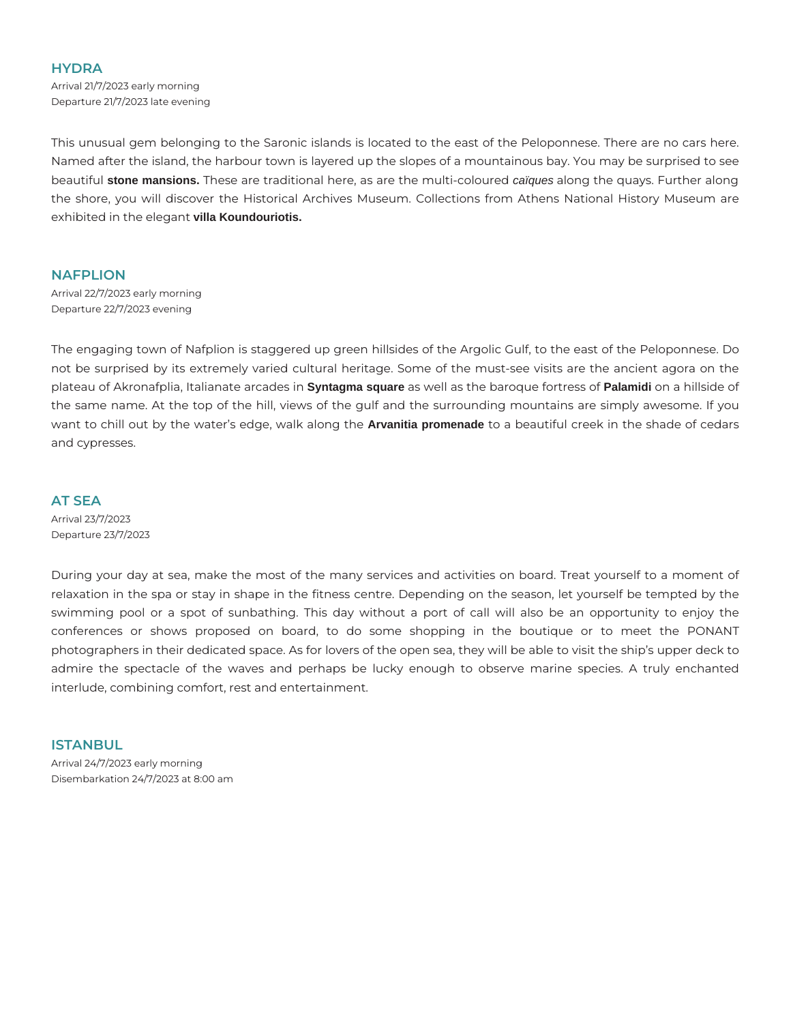# **HYDRA**

Arrival 21/7/2023 early morning Departure 21/7/2023 late evening

This unusual gem belonging to the Saronic islands is located to the east of the Peloponnese. There are no cars here. Named after the island, the harbour town is layered up the slopes of a mountainous bay. You may be surprised to see beautiful **stone mansions.** These are traditional here, as are the multi-coloured caïques along the quays. Further along the shore, you will discover the Historical Archives Museum. Collections from Athens National History Museum are exhibited in the elegant **villa Koundouriotis.**

# **NAFPLION**

Arrival 22/7/2023 early morning Departure 22/7/2023 evening

The engaging town of Nafplion is staggered up green hillsides of the Argolic Gulf, to the east of the Peloponnese. Do not be surprised by its extremely varied cultural heritage. Some of the must-see visits are the ancient agora on the plateau of Akronafplia, Italianate arcades in **Syntagma square** as well as the baroque fortress of **Palamidi** on a hillside of the same name. At the top of the hill, views of the gulf and the surrounding mountains are simply awesome. If you want to chill out by the water's edge, walk along the **Arvanitia promenade** to a beautiful creek in the shade of cedars and cypresses.

#### **AT SEA**

Arrival 23/7/2023 Departure 23/7/2023

During your day at sea, make the most of the many services and activities on board. Treat yourself to a moment of relaxation in the spa or stay in shape in the fitness centre. Depending on the season, let yourself be tempted by the swimming pool or a spot of sunbathing. This day without a port of call will also be an opportunity to enjoy the conferences or shows proposed on board, to do some shopping in the boutique or to meet the PONANT photographers in their dedicated space. As for lovers of the open sea, they will be able to visit the ship's upper deck to admire the spectacle of the waves and perhaps be lucky enough to observe marine species. A truly enchanted interlude, combining comfort, rest and entertainment.

# **ISTANBUL**

Arrival 24/7/2023 early morning Disembarkation 24/7/2023 at 8:00 am